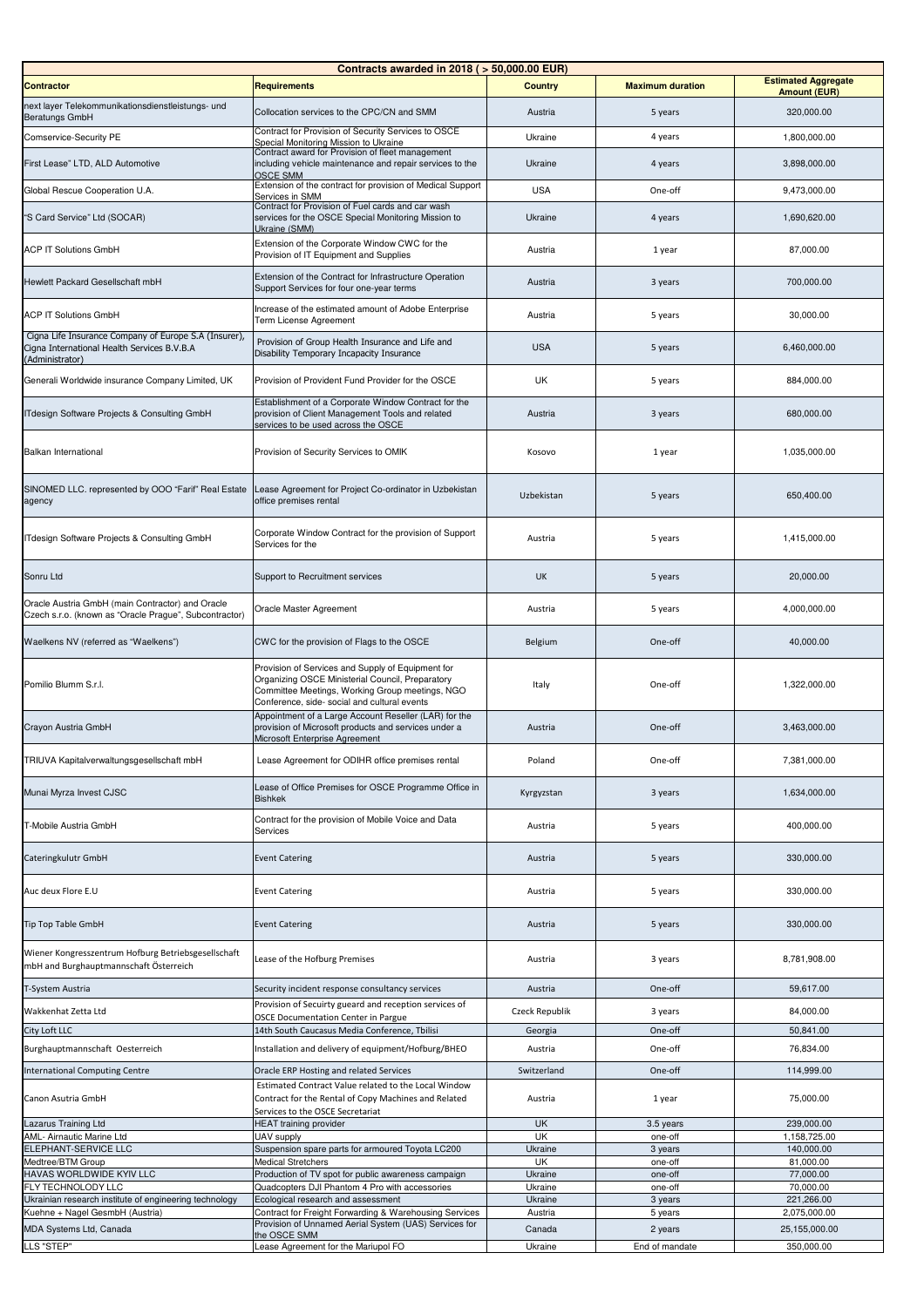|                                                                                                                         | Contracts awarded in 2018 ( > 50,000.00 EUR)                                                                                                                                                             |                        |                         |                            |
|-------------------------------------------------------------------------------------------------------------------------|----------------------------------------------------------------------------------------------------------------------------------------------------------------------------------------------------------|------------------------|-------------------------|----------------------------|
| <b>Contractor</b>                                                                                                       | <b>Requirements</b>                                                                                                                                                                                      | <b>Country</b>         | <b>Maximum duration</b> | <b>Estimated Aggregate</b> |
| next layer Telekommunikationsdienstleistungs- und                                                                       |                                                                                                                                                                                                          |                        |                         | <b>Amount (EUR)</b>        |
| <b>Beratungs GmbH</b>                                                                                                   | Collocation services to the CPC/CN and SMM                                                                                                                                                               | Austria                | 5 years                 | 320,000.00                 |
| Comservice-Security PE                                                                                                  | Contract for Provision of Security Services to OSCE<br>Special Monitoring Mission to Ukraine<br>Contract award for Provision of fleet management                                                         | Ukraine                | 4 years                 | 1,800,000.00               |
| First Lease" LTD, ALD Automotive                                                                                        | including vehicle maintenance and repair services to the<br><b>OSCE SMM</b>                                                                                                                              | Ukraine                | 4 years                 | 3,898,000.00               |
| Global Rescue Cooperation U.A.                                                                                          | Extension of the contract for provision of Medical Support<br>Services in SMM                                                                                                                            | <b>USA</b>             | One-off                 | 9,473,000.00               |
| "S Card Service" Ltd (SOCAR)                                                                                            | Contract for Provision of Fuel cards and car wash<br>services for the OSCE Special Monitoring Mission to<br>Ukraine (SMM)                                                                                | Ukraine                | 4 years                 | 1,690,620.00               |
| <b>ACP IT Solutions GmbH</b>                                                                                            | Extension of the Corporate Window CWC for the<br>Provision of IT Equipment and Supplies                                                                                                                  | Austria                | 1 year                  | 87,000.00                  |
| Hewlett Packard Gesellschaft mbH                                                                                        | Extension of the Contract for Infrastructure Operation<br>Support Services for four one-year terms                                                                                                       | Austria                | 3 years                 | 700,000.00                 |
| <b>ACP IT Solutions GmbH</b>                                                                                            | Increase of the estimated amount of Adobe Enterprise<br>Term License Agreement                                                                                                                           | Austria                | 5 years                 | 30,000.00                  |
| Cigna Life Insurance Company of Europe S.A (Insurer),<br>Cigna International Health Services B.V.B.A<br>(Administrator) | Provision of Group Health Insurance and Life and<br>Disability Temporary Incapacity Insurance                                                                                                            | <b>USA</b>             | 5 years                 | 6,460,000.00               |
| Generali Worldwide insurance Company Limited, UK                                                                        | Provision of Provident Fund Provider for the OSCE                                                                                                                                                        | UK                     | 5 years                 | 884,000.00                 |
| ITdesign Software Projects & Consulting GmbH                                                                            | Establishment of a Corporate Window Contract for the<br>provision of Client Management Tools and related<br>services to be used across the OSCE                                                          | Austria                | 3 years                 | 680,000.00                 |
| Balkan International                                                                                                    | Provision of Security Services to OMIK                                                                                                                                                                   | Kosovo                 | 1 year                  | 1,035,000.00               |
| SINOMED LLC. represented by OOO "Farif" Real Estate<br>agency                                                           | Lease Agreement for Project Co-ordinator in Uzbekistan<br>office premises rental                                                                                                                         | Uzbekistan             | 5 years                 | 650,400.00                 |
| ITdesign Software Projects & Consulting GmbH                                                                            | Corporate Window Contract for the provision of Support<br>Services for the                                                                                                                               | Austria                | 5 years                 | 1,415,000.00               |
| Sonru Ltd                                                                                                               | Support to Recruitment services                                                                                                                                                                          | <b>UK</b>              | 5 years                 | 20,000.00                  |
| Oracle Austria GmbH (main Contractor) and Oracle<br>Czech s.r.o. (known as "Oracle Prague", Subcontractor)              | Oracle Master Agreement                                                                                                                                                                                  | Austria                | 5 years                 | 4,000,000.00               |
| Waelkens NV (referred as "Waelkens")                                                                                    | CWC for the provision of Flags to the OSCE                                                                                                                                                               | Belgium                | One-off                 | 40,000.00                  |
| Pomilio Blumm S.r.l.                                                                                                    | Provision of Services and Supply of Equipment for<br>Organizing OSCE Ministerial Council, Preparatory<br>Committee Meetings, Working Group meetings, NGO<br>Conference, side- social and cultural events | Italy                  | One-off                 | 1,322,000.00               |
| Crayon Austria GmbH                                                                                                     | Appointment of a Large Account Reseller (LAR) for the<br>provision of Microsoft products and services under a<br>Microsoft Enterprise Agreement                                                          | Austria                | One-off                 | 3,463,000.00               |
| TRIUVA Kapitalverwaltungsgesellschaft mbH                                                                               | Lease Agreement for ODIHR office premises rental                                                                                                                                                         | Poland                 | One-off                 | 7,381,000.00               |
| Munai Myrza Invest CJSC                                                                                                 | Lease of Office Premises for OSCE Programme Office in<br><b>Bishkek</b>                                                                                                                                  | Kyrgyzstan             | 3 years                 | 1,634,000.00               |
| T-Mobile Austria GmbH                                                                                                   | Contract for the provision of Mobile Voice and Data<br>Services                                                                                                                                          | Austria                | 5 years                 | 400,000.00                 |
| Cateringkulutr GmbH                                                                                                     | <b>Event Catering</b>                                                                                                                                                                                    | Austria                | 5 years                 | 330,000.00                 |
| Auc deux Flore E.U                                                                                                      | <b>Event Catering</b>                                                                                                                                                                                    | Austria                | 5 years                 | 330,000.00                 |
| <b>Tip Top Table GmbH</b>                                                                                               | <b>Event Catering</b>                                                                                                                                                                                    | Austria                | 5 years                 | 330,000.00                 |
| Wiener Kongresszentrum Hofburg Betriebsgesellschaft<br>mbH and Burghauptmannschaft Österreich                           | Lease of the Hofburg Premises                                                                                                                                                                            | Austria                | 3 years                 | 8,781,908.00               |
| T-System Austria                                                                                                        | Security incident response consultancy services                                                                                                                                                          | Austria                | One-off                 | 59,617.00                  |
| Wakkenhat Zetta Ltd                                                                                                     | Provision of Secuirty gueard and reception services of<br><b>OSCE Documentation Center in Pargue</b>                                                                                                     | Czeck Republik         | 3 years                 | 84,000.00                  |
| City Loft LLC                                                                                                           | 14th South Caucasus Media Conference, Tbilisi                                                                                                                                                            | Georgia                | One-off                 | 50,841.00                  |
| Burghauptmannschaft Oesterreich                                                                                         | Installation and delivery of equipment/Hofburg/BHEO                                                                                                                                                      | Austria                | One-off                 | 76,834.00                  |
|                                                                                                                         |                                                                                                                                                                                                          |                        |                         |                            |
| International Computing Centre<br>Canon Asutria GmbH                                                                    | Oracle ERP Hosting and related Services<br>Estimated Contract Value related to the Local Window<br>Contract for the Rental of Copy Machines and Related                                                  | Switzerland<br>Austria | One-off<br>1 year       | 114,999.00<br>75,000.00    |
| azarus Training Ltd                                                                                                     | Services to the OSCE Secretariat<br><b>HEAT</b> training provider                                                                                                                                        | <b>UK</b>              | 3.5 years               | 239,000.00                 |
| AML- Airnautic Marine Ltd                                                                                               | UAV supply                                                                                                                                                                                               | UK                     | one-off                 | 1,158,725.00               |
| ELEPHANT-SERVICE LLC                                                                                                    | Suspension spare parts for armoured Toyota LC200                                                                                                                                                         | Ukraine                | 3 years                 | 140,000.00                 |
| Medtree/BTM Group                                                                                                       | <b>Medical Stretchers</b>                                                                                                                                                                                | UK                     | one-off                 | 81,000.00                  |
| HAVAS WORLDWIDE KYIV LLC                                                                                                | Production of TV spot for public awareness campaign                                                                                                                                                      | Ukraine                | one-off                 | 77,000.00                  |
| FLY TECHNOLODY LLC                                                                                                      | Quadcopters DJI Phantom 4 Pro with accessories                                                                                                                                                           | Ukraine                | one-off                 | 70,000.00                  |
| Ukrainian research institute of engineering technology                                                                  | Ecological research and assessment                                                                                                                                                                       | Ukraine                | 3 years                 | 221,266.00                 |
| Kuehne + Nagel GesmbH (Austria)                                                                                         | Contract for Freight Forwarding & Warehousing Services<br>Provision of Unnamed Aerial System (UAS) Services for                                                                                          | Austria                | 5 years                 | 2,075,000.00               |
| MDA Systems Ltd, Canada                                                                                                 | the OSCE SMM                                                                                                                                                                                             | Canada                 | 2 years                 | 25,155,000.00              |
| LLS "STEP"                                                                                                              | Lease Agreement for the Mariupol FO                                                                                                                                                                      | Ukraine                | End of mandate          | 350,000.00                 |